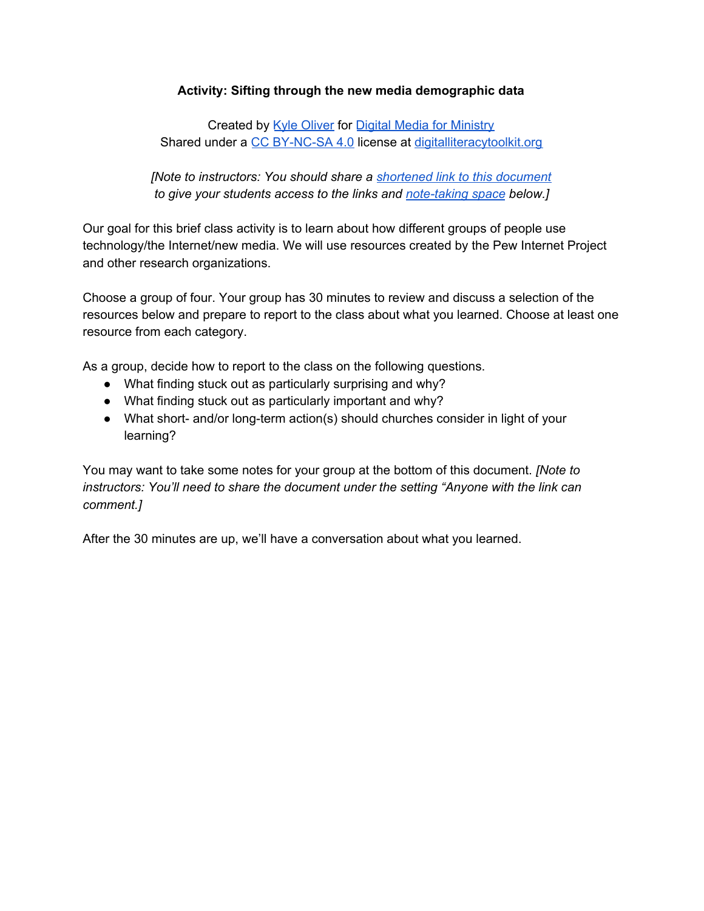### **Activity: Sifting through the new media demographic data**

Created by Kyle [Oliver](https://kyleoliver.net/) for Digital Media for [Ministry](http://bit.ly/VTSdigimin) Shared under a CC [BY-NC-SA](https://creativecommons.org/licenses/by-nc-sa/4.0/) 4.0 license at [digitalliteracytoolkit.org](https://digitalliteracytoolkit.org/)

*[Note to instructors: You should share a [shortened](https://www.digitalliteracytoolkit.org/portfolio-item/in-class-linking-with-url-shorteners/) link to this document to give your students access to the links and [note-taking](https://www.digitalliteracytoolkit.org/portfolio-item/shared-course-notes/) space below.]*

Our goal for this brief class activity is to learn about how different groups of people use technology/the Internet/new media. We will use resources created by the Pew Internet Project and other research organizations.

Choose a group of four. Your group has 30 minutes to review and discuss a selection of the resources below and prepare to report to the class about what you learned. Choose at least one resource from each category.

As a group, decide how to report to the class on the following questions.

- What finding stuck out as particularly surprising and why?
- What finding stuck out as particularly important and why?
- What short- and/or long-term action(s) should churches consider in light of your learning?

You may want to take some notes for your group at the bottom of this document. *[Note to instructors: You'll need to share the document under the setting "Anyone with the link can comment.]*

After the 30 minutes are up, we'll have a conversation about what you learned.